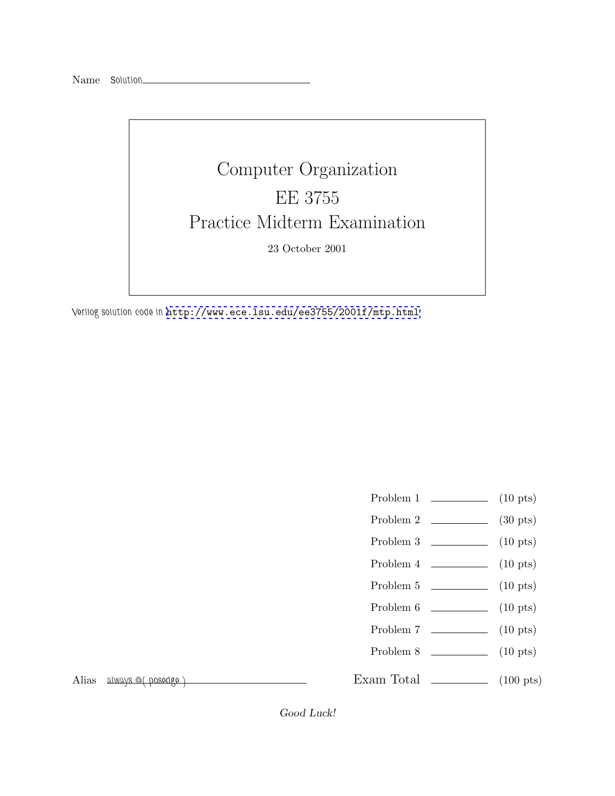Name *Solution*



*Verilog solution code in* <http://www.ece.lsu.edu/ee3755/2001f/mtp.html>

- Problem 1 (10 pts)
- Problem 2  $\qquad \qquad$  (30 pts)
- Problem  $3 \t\t(10 \text{ pts})$
- Problem  $4 \t\t(10 \text{ pts})$
- Problem 5 (10 pts)
- Problem 6 (10 pts)
- Problem 7 (10 pts)
- Problem 8 (10 pts)

Alias *always @( posedge )*

Exam Total  $\qquad \qquad$  (100 pts)

Good Luck!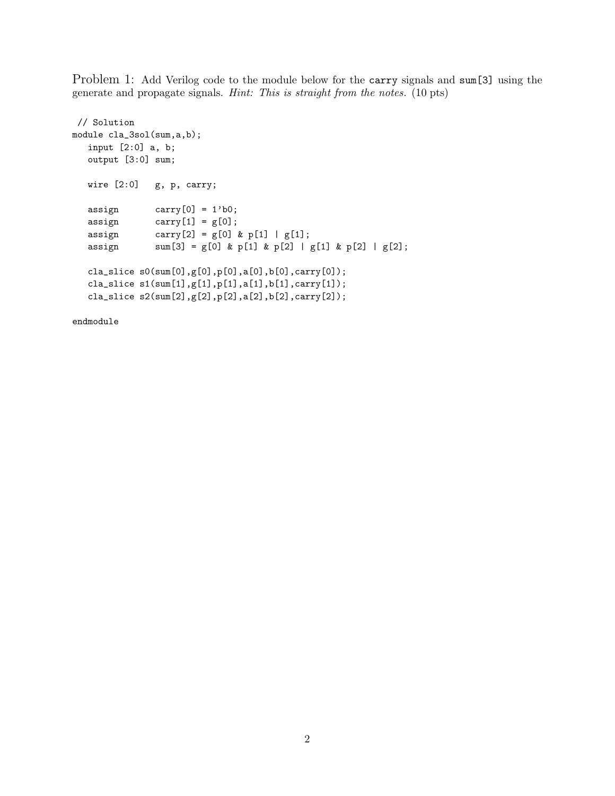Problem 1: Add Verilog code to the module below for the carry signals and sum[3] using the generate and propagate signals. *Hint: This is straight from the notes.* (10 pts)

```
// Solution
module cla_3sol(sum,a,b);
  input [2:0] a, b;
  output [3:0] sum;
  wire [2:0] g, p, carry;
  assign carry [0] = 1'b0;assign carry[1] = g[0];assign carry [2] = g[0] \& p[1] | g[1];assign sum[3] = g[0] \& p[1] \& p[2] | g[1] \& p[2] | g[2];cla_slice s0(sum[0],g[0],p[0],a[0],b[0],carry[0]);
  cla_slice s1(sum[1],g[1],p[1],a[1],b[1],carry[1]);
  cla_slice s2(sum[2],g[2],p[2],a[2],b[2],carry[2]);
```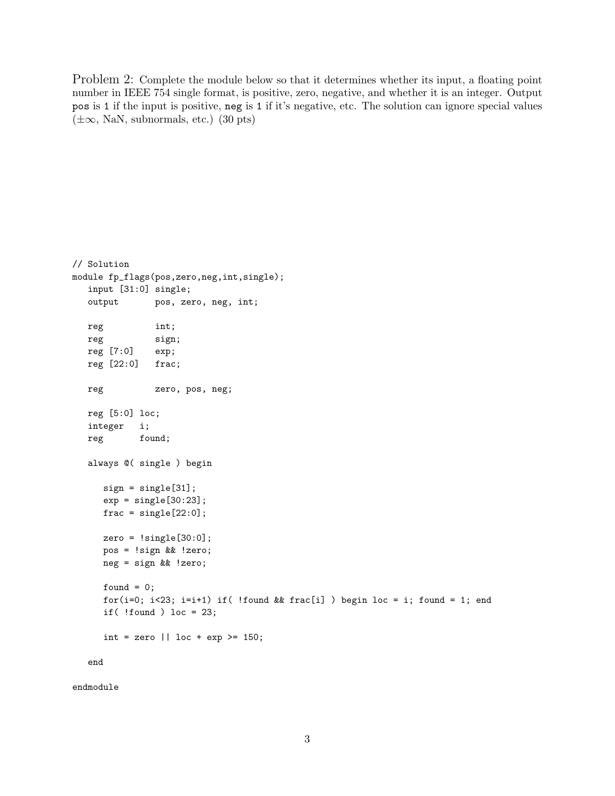Problem 2: Complete the module below so that it determines whether its input, a floating point number in IEEE 754 single format, is positive, zero, negative, and whether it is an integer. Output pos is 1 if the input is positive, neg is 1 if it's negative, etc. The solution can ignore special values  $(\pm\infty, \text{NaN}, \text{subnormals}, \text{etc.})$  (30 pts)

```
// Solution
module fp_flags(pos,zero,neg,int,single);
  input [31:0] single;
  output pos, zero, neg, int;
  reg int;
  reg sign;
  reg [7:0] exp;
  reg [22:0] frac;
  reg zero, pos, neg;
  reg [5:0] loc;
  integer i;
  reg found;
  always @( single ) begin
     sign = single[31];
     exp = single[30:23];frac = single[22:0];zero = !single[30:0];
     pos = !sign && !zero;
     neg = sign && !zero;
     found = 0;
     for(i=0; i<23; i=i+1) if( !found && frac[i] ) begin loc = i; found = 1; end
     if( !found ) loc = 23;
     int = zero || \text{loc} + \text{exp} > = 150;end
```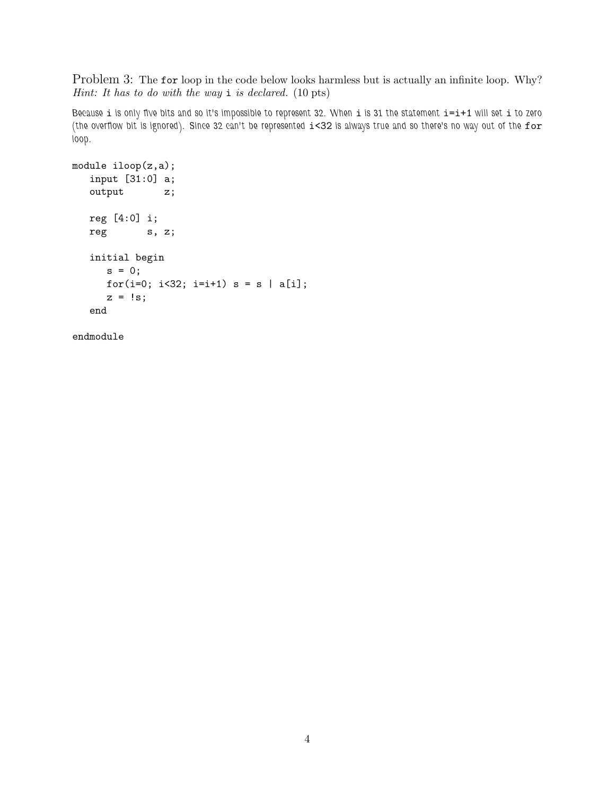Problem 3: The for loop in the code below looks harmless but is actually an infinite loop. Why? *Hint: It has to do with the way* i *is declared.* (10 pts)

*Because* i *is only five bits and so it's impossible to represent 32. When* i *is 31 the statement* i=i+1 *will set* i *to zero (the overflow bit is ignored). Since 32 can't be represented* i<32 *is always true and so there's no way out of the* for *loop.*

```
module iloop(z,a);
  input [31:0] a;
  output z;
  reg [4:0] i;
  reg s, z;
  initial begin
     s = 0;for(i=0; i<32; i=i+1) s = s | a[i];z = 1s;end
```

```
endmodule
```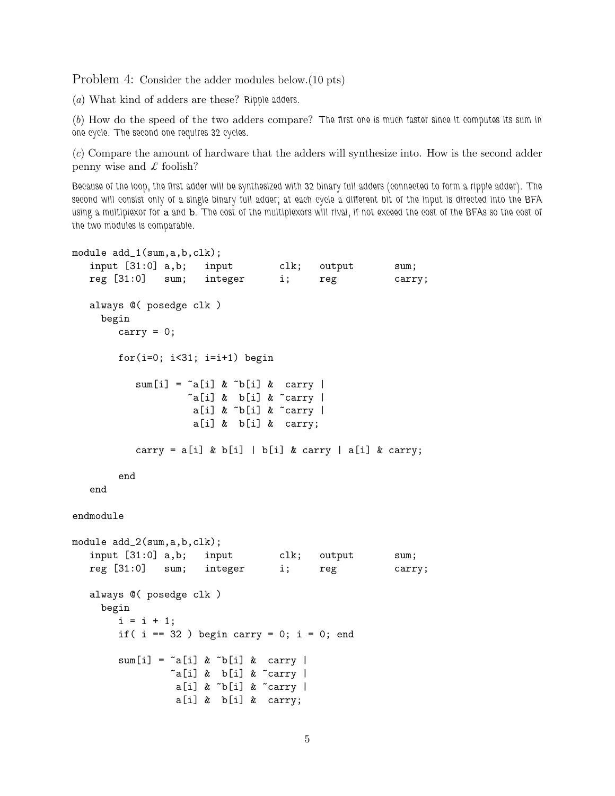Problem 4: Consider the adder modules below.(10 pts)

(*a*) What kind of adders are these? *Ripple adders.*

(*b*) How do the speed of the two adders compare? *The first one is much faster since it computes its sum in one cycle. The second one requires 32 cycles.*

(*c*) Compare the amount of hardware that the adders will synthesize into. How is the second adder penny wise and *£* foolish?

*Because of the loop, the first adder will be synthesized with 32 binary full adders (connected to form a ripple adder). The second will consist only of a single binary full adder; at each cycle a different bit of the input is directed into the BFA using a multiplexor for* a *and* b*. The cost of the multiplexors will rival, if not exceed the cost of the BFAs so the cost of the two modules is comparable.*

```
module add_1(sum,a,b,clk);
   input [31:0] a,b; input clk; output sum;
  reg [31:0] sum; integer i; reg carry;
  always @( posedge clk )
    begin
       carry = 0;
        for(i=0; i<31; i=i+1) begin
           sum[i] = \alpha[i] \& \gamma[b[i] \& \text{carry}\tilde{a}[i] & b[i] & \tilde{c}carry |
                     a[i] & b[i] & carry |
                     a[i] & b[i] & carry;
           carry = a[i] & b[i] | b[i] & carry | a[i] & carry;
        end
   end
endmodule
module add_2(sum,a,b,clk);
  input [31:0] a,b; input clk; output sum;
  reg [31:0] sum; integer i; reg carry;
  always @( posedge clk )
     begin
        i = i + 1;
        if( i == 32 ) begin carry = 0; i = 0; end
        sum[i] = \infty[i] \& \infty[b] \& \text{carry}\tilde{a}[i] & b[i] & \tilde{c}carry |
                 a[i] & \tilde{b}[i] & \tilde{c} carry |
                  a[i] & b[i] & carry;
```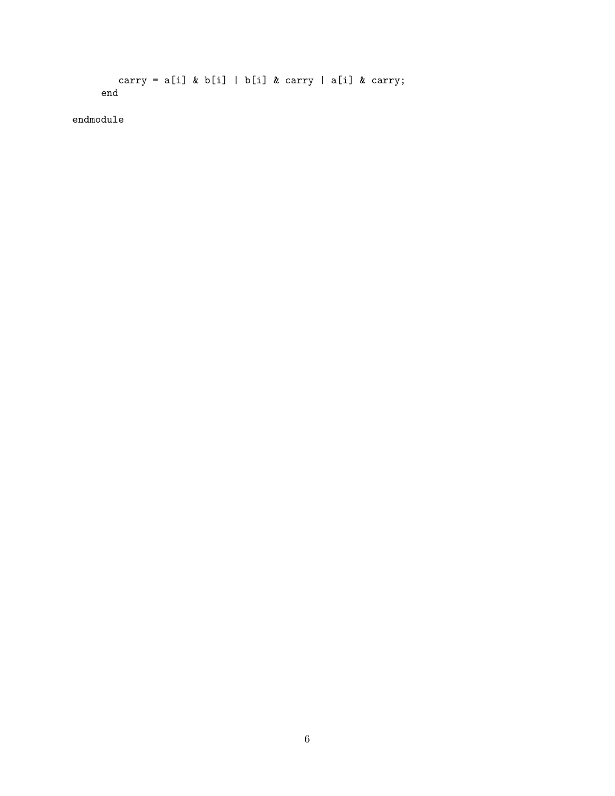```
carry = a[i] & b[i] | b[i] & carry | a[i] & carry;
end
```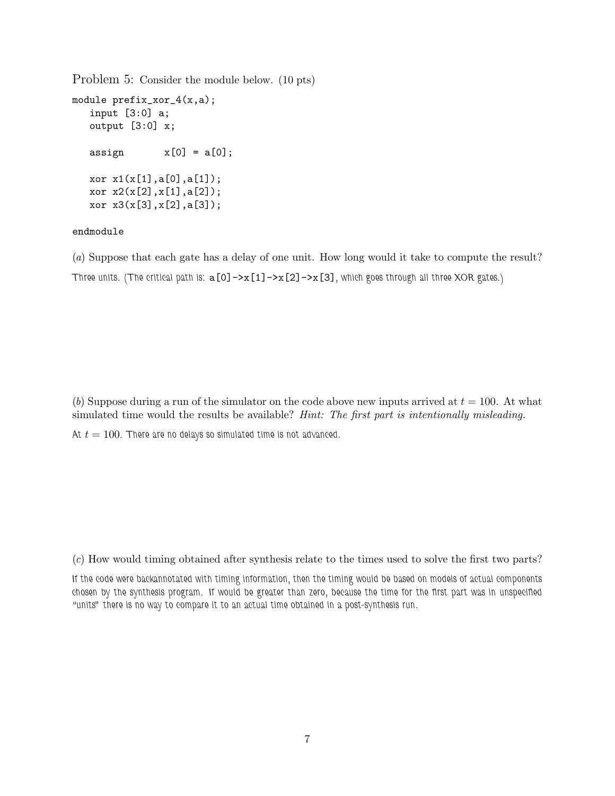Problem 5: Consider the module below. (10 pts)

```
module prefix_xor_4(x,a);
  input [3:0] a;
  output [3:0] x;
  assign x[0] = a[0];
  xor x1(x[1],a[0],a[1]);
  xor x2(x[2],x[1],a[2]);
  xor x3(x[3],x[2],a[3]);
```
## endmodule

(*a*) Suppose that each gate has a delay of one unit. How long would it take to compute the result? *Three units. (The critical path is:* a[0]->x[1]->x[2]->x[3]*, which goes through all three XOR gates.)*

(*b*) Suppose during a run of the simulator on the code above new inputs arrived at  $t = 100$ . At what simulated time would the results be available? *Hint: The first part is intentionally misleading.*

At  $t = 100$ . There are no delays so simulated time is not advanced.

(*c*) How would timing obtained after synthesis relate to the times used to solve the first two parts?

*If the code were backannotated with timing information, then the timing would be based on models of actual components chosen by the synthesis program. If would be greater than zero, because the time for the first part was in unspecified "units" there is no way to compare it to an actual time obtained in a post-synthesis run.*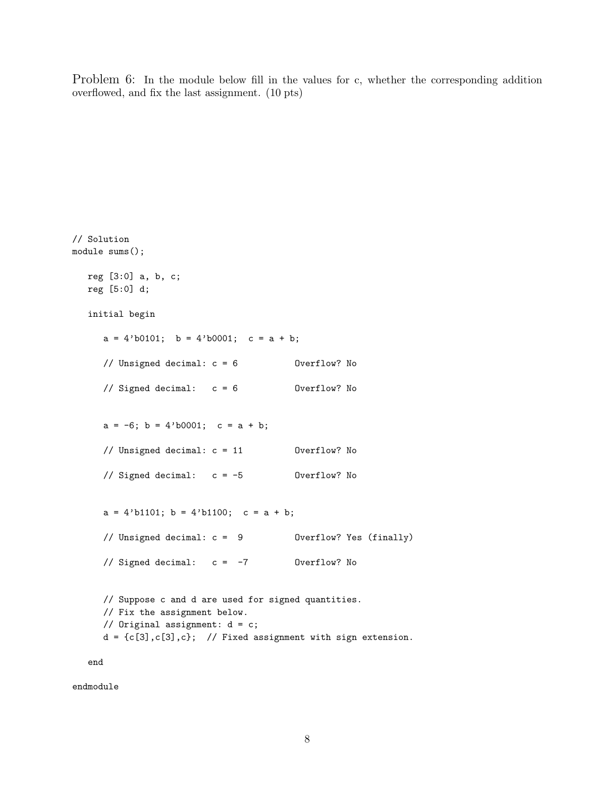Problem 6: In the module below fill in the values for c, whether the corresponding addition overflowed, and fix the last assignment. (10 pts)

```
// Solution
module sums();
  reg [3:0] a, b, c;
  reg [5:0] d;
  initial begin
     a = 4'b0101; b = 4'b0001; c = a + b;
     // Unsigned decimal: c = 6 Overflow? No
     // Signed decimal: c = 6 Overflow? No
     a = -6; b = 4'b0001; c = a + b;
     // Unsigned decimal: c = 11 Overflow? No
     // Signed decimal: c = -5 Overflow? No
     a = 4' b1101; b = 4' b1100; c = a + b;
     // Unsigned decimal: c = 9 Overflow? Yes (finally)
     // Signed decimal: c = -7 Overflow? No
     // Suppose c and d are used for signed quantities.
     // Fix the assignment below.
     // Original assignment: d = c;
     d = {c[3], c[3], c}; // Fixed assignment with sign extension.
  end
```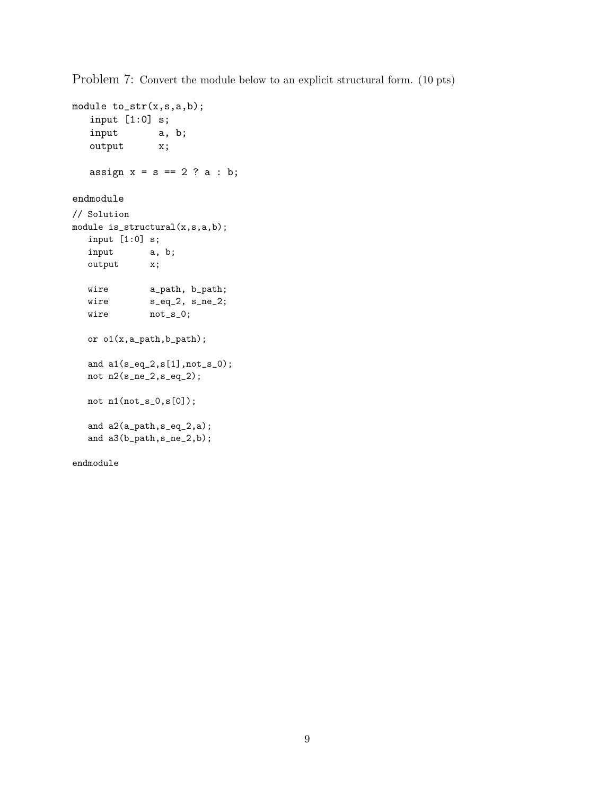Problem 7: Convert the module below to an explicit structural form. (10 pts)

```
module to_str(x,s,a,b);
   input [1:0] s;
   input a, b;
   output x;
   assign x = s == 2 ? a : b;
endmodule
// Solution
module is_structural(x,s,a,b);
  input [1:0] s;
  input a, b;
  output x;
  wire a_path, b_path;
  wire s_eq_2, s_ne_2;
  wire not_s_0;or o1(x,a_path,b_path);
  and a1(s\_eq\_2,s[1] ,<br>not_s_0);
  not n2(s_ne_2,s_eq_2);
  not n1(not_s_0,s[0]);
  and a2(a_path,s_eq_2,a);
  and a3(b_path,s_ne_2,b);
endmodule
```